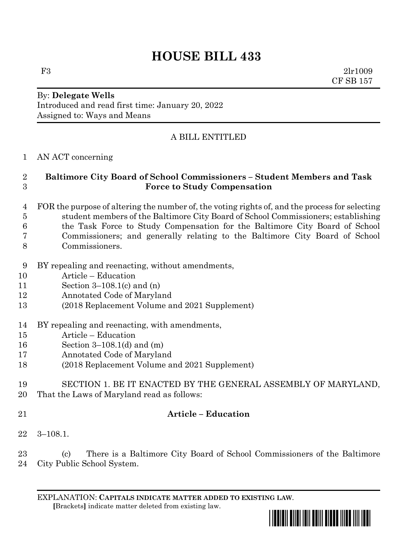# **HOUSE BILL 433**

F3 2lr1009 CF SB 157

#### By: **Delegate Wells** Introduced and read first time: January 20, 2022 Assigned to: Ways and Means

## A BILL ENTITLED

#### AN ACT concerning

### **Baltimore City Board of School Commissioners – Student Members and Task Force to Study Compensation**

- FOR the purpose of altering the number of, the voting rights of, and the process for selecting student members of the Baltimore City Board of School Commissioners; establishing the Task Force to Study Compensation for the Baltimore City Board of School Commissioners; and generally relating to the Baltimore City Board of School Commissioners.
- BY repealing and reenacting, without amendments,
- Article Education
- Section 3–108.1(c) and (n)
- Annotated Code of Maryland
- (2018 Replacement Volume and 2021 Supplement)
- BY repealing and reenacting, with amendments,
- Article Education
- Section 3–108.1(d) and (m)
- Annotated Code of Maryland
- (2018 Replacement Volume and 2021 Supplement)
- SECTION 1. BE IT ENACTED BY THE GENERAL ASSEMBLY OF MARYLAND,
- That the Laws of Maryland read as follows:
- 

## **Article – Education**

3–108.1.

 (c) There is a Baltimore City Board of School Commissioners of the Baltimore City Public School System.

EXPLANATION: **CAPITALS INDICATE MATTER ADDED TO EXISTING LAW**.  **[**Brackets**]** indicate matter deleted from existing law.

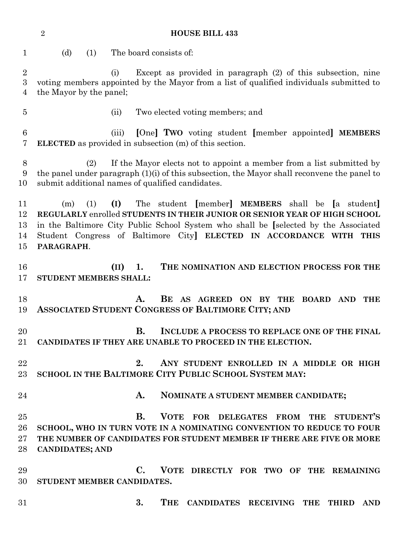**HOUSE BILL 433** (d) (1) The board consists of: (i) Except as provided in paragraph (2) of this subsection, nine voting members appointed by the Mayor from a list of qualified individuals submitted to the Mayor by the panel; (ii) Two elected voting members; and (iii) **[**One**] TWO** voting student **[**member appointed**] MEMBERS ELECTED** as provided in subsection (m) of this section. (2) If the Mayor elects not to appoint a member from a list submitted by the panel under paragraph (1)(i) of this subsection, the Mayor shall reconvene the panel to submit additional names of qualified candidates. (m) (1) **(I)** The student **[**member**] MEMBERS** shall be **[**a student**] REGULARLY** enrolled **STUDENTS IN THEIR JUNIOR OR SENIOR YEAR OF HIGH SCHOOL** in the Baltimore City Public School System who shall be **[**selected by the Associated Student Congress of Baltimore City**] ELECTED IN ACCORDANCE WITH THIS PARAGRAPH**. **(II) 1. THE NOMINATION AND ELECTION PROCESS FOR THE STUDENT MEMBERS SHALL: A. BE AS AGREED ON BY THE BOARD AND THE ASSOCIATED STUDENT CONGRESS OF BALTIMORE CITY; AND B. INCLUDE A PROCESS TO REPLACE ONE OF THE FINAL CANDIDATES IF THEY ARE UNABLE TO PROCEED IN THE ELECTION. 2. ANY STUDENT ENROLLED IN A MIDDLE OR HIGH SCHOOL IN THE BALTIMORE CITY PUBLIC SCHOOL SYSTEM MAY: A. NOMINATE A STUDENT MEMBER CANDIDATE; B. VOTE FOR DELEGATES FROM THE STUDENT'S SCHOOL, WHO IN TURN VOTE IN A NOMINATING CONVENTION TO REDUCE TO FOUR THE NUMBER OF CANDIDATES FOR STUDENT MEMBER IF THERE ARE FIVE OR MORE CANDIDATES; AND C. VOTE DIRECTLY FOR TWO OF THE REMAINING STUDENT MEMBER CANDIDATES. 3. THE CANDIDATES RECEIVING THE THIRD AND**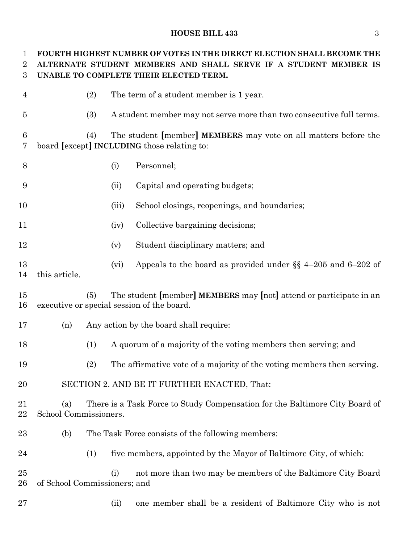#### **HOUSE BILL 433** 3

 **FOURTH HIGHEST NUMBER OF VOTES IN THE DIRECT ELECTION SHALL BECOME THE ALTERNATE STUDENT MEMBERS AND SHALL SERVE IF A STUDENT MEMBER IS UNABLE TO COMPLETE THEIR ELECTED TERM.** (2) The term of a student member is 1 year. (3) A student member may not serve more than two consecutive full terms. (4) The student **[**member**] MEMBERS** may vote on all matters before the board **[**except**] INCLUDING** those relating to: (i) Personnel; (ii) Capital and operating budgets; (iii) School closings, reopenings, and boundaries; (iv) Collective bargaining decisions; (v) Student disciplinary matters; and 13 (vi) Appeals to the board as provided under  $\S$  4–205 and 6–202 of this article. (5) The student **[**member**] MEMBERS** may **[**not**]** attend or participate in an executive or special session of the board. (n) Any action by the board shall require: (1) A quorum of a majority of the voting members then serving; and (2) The affirmative vote of a majority of the voting members then serving. SECTION 2. AND BE IT FURTHER ENACTED, That: (a) There is a Task Force to Study Compensation for the Baltimore City Board of School Commissioners. (b) The Task Force consists of the following members: (1) five members, appointed by the Mayor of Baltimore City, of which: (i) not more than two may be members of the Baltimore City Board of School Commissioners; and (ii) one member shall be a resident of Baltimore City who is not